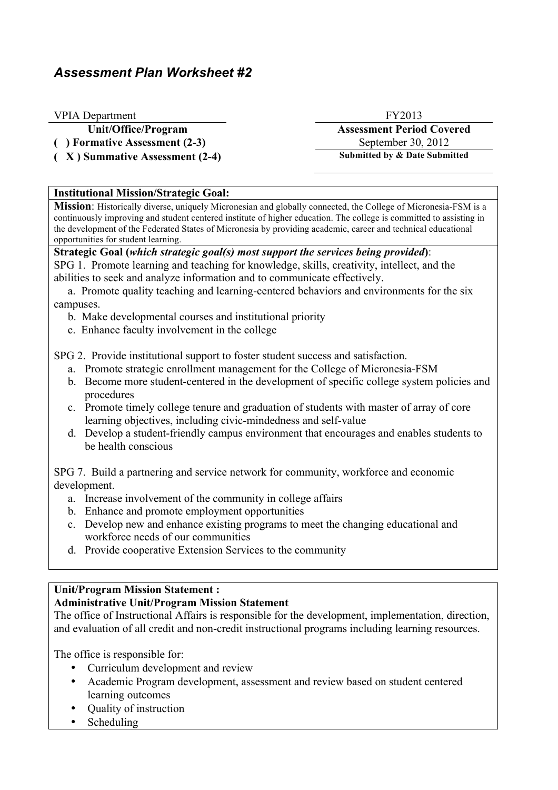# *Assessment Plan Worksheet #2*

### VPIA Department FY2013

(a) Formative Assessment (2-3) September 30, 2012

( **X** ) Summative Assessment (2-4) Submitted by & Date Submitted

Unit/Office/Program **Assessment Period Covered** 

### **Institutional Mission/Strategic Goal:**

**Mission**: Historically diverse, uniquely Micronesian and globally connected, the College of Micronesia-FSM is a continuously improving and student centered institute of higher education. The college is committed to assisting in the development of the Federated States of Micronesia by providing academic, career and technical educational opportunities for student learning.

## **Strategic Goal (***which strategic goal(s) most support the services being provided***)**:

SPG 1. Promote learning and teaching for knowledge, skills, creativity, intellect, and the abilities to seek and analyze information and to communicate effectively.

 a. Promote quality teaching and learning-centered behaviors and environments for the six campuses.

- b. Make developmental courses and institutional priority
- c. Enhance faculty involvement in the college

SPG 2. Provide institutional support to foster student success and satisfaction.

- a. Promote strategic enrollment management for the College of Micronesia-FSM
- b. Become more student-centered in the development of specific college system policies and procedures
- c. Promote timely college tenure and graduation of students with master of array of core learning objectives, including civic-mindedness and self-value
- d. Develop a student-friendly campus environment that encourages and enables students to be health conscious

SPG 7. Build a partnering and service network for community, workforce and economic development.

- a. Increase involvement of the community in college affairs
- b. Enhance and promote employment opportunities
- c. Develop new and enhance existing programs to meet the changing educational and workforce needs of our communities
- d. Provide cooperative Extension Services to the community

### **Unit/Program Mission Statement :**

### **Administrative Unit/Program Mission Statement**

The office of Instructional Affairs is responsible for the development, implementation, direction, and evaluation of all credit and non-credit instructional programs including learning resources.

The office is responsible for:

- Curriculum development and review
- Academic Program development, assessment and review based on student centered learning outcomes
- Quality of instruction
- Scheduling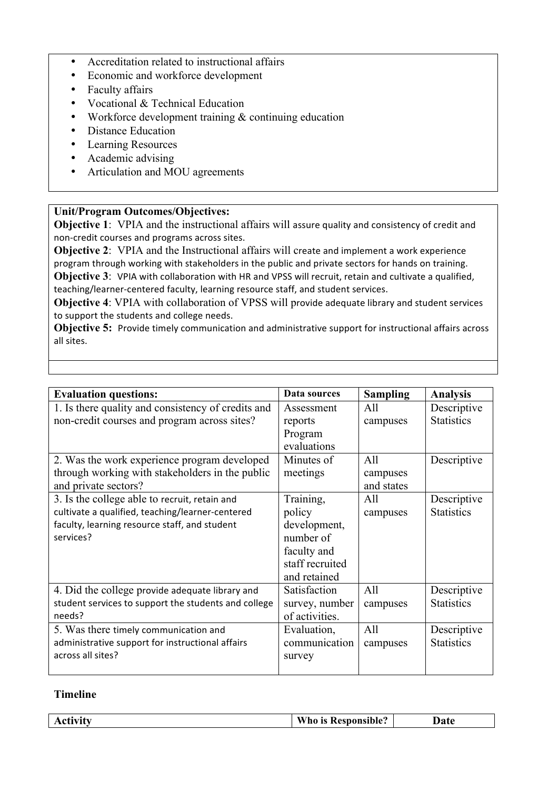- Accreditation related to instructional affairs
- Economic and workforce development
- Faculty affairs
- Vocational & Technical Education
- Workforce development training & continuing education
- Distance Education
- Learning Resources
- Academic advising
- Articulation and MOU agreements

### **Unit/Program Outcomes/Objectives:**

**Objective 1:** VPIA and the instructional affairs will assure quality and consistency of credit and non-credit courses and programs across sites.

**Objective 2:** VPIA and the Instructional affairs will create and implement a work experience program through working with stakeholders in the public and private sectors for hands on training.

**Objective 3**: VPIA with collaboration with HR and VPSS will recruit, retain and cultivate a qualified, teaching/learner-centered faculty, learning resource staff, and student services.

**Objective 4: VPIA with collaboration of VPSS will provide adequate library and student services** to support the students and college needs.

**Objective 5:** Provide timely communication and administrative support for instructional affairs across all sites.

| <b>Evaluation questions:</b>                         | Data sources    | <b>Sampling</b> | <b>Analysis</b>   |
|------------------------------------------------------|-----------------|-----------------|-------------------|
| 1. Is there quality and consistency of credits and   | Assessment      | All             | Descriptive       |
| non-credit courses and program across sites?         | reports         | campuses        | <b>Statistics</b> |
|                                                      | Program         |                 |                   |
|                                                      | evaluations     |                 |                   |
| 2. Was the work experience program developed         | Minutes of      | All             | Descriptive       |
| through working with stakeholders in the public      | meetings        | campuses        |                   |
| and private sectors?                                 |                 | and states      |                   |
| 3. Is the college able to recruit, retain and        | Training,       | All             | Descriptive       |
| cultivate a qualified, teaching/learner-centered     | policy          | campuses        | <b>Statistics</b> |
| faculty, learning resource staff, and student        | development,    |                 |                   |
| services?                                            | number of       |                 |                   |
|                                                      | faculty and     |                 |                   |
|                                                      | staff recruited |                 |                   |
|                                                      | and retained    |                 |                   |
| 4. Did the college provide adequate library and      | Satisfaction    | All             | Descriptive       |
| student services to support the students and college | survey, number  | campuses        | <b>Statistics</b> |
| needs?                                               | of activities.  |                 |                   |
| 5. Was there timely communication and                | Evaluation,     | All             | Descriptive       |
| administrative support for instructional affairs     | communication   | campuses        | <b>Statistics</b> |
| across all sites?                                    | survey          |                 |                   |
|                                                      |                 |                 |                   |

#### **Timeline**

| -------<br>ACUVI | <b>Responsible?</b><br>---<br>$\mathbf{M}$<br>$\sim$<br>$\sim$ | –<br>Date |
|------------------|----------------------------------------------------------------|-----------|
|                  |                                                                |           |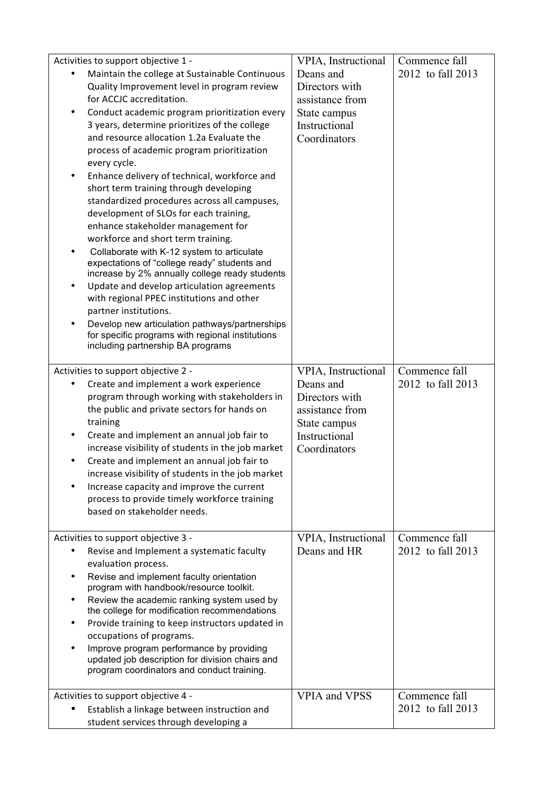|                          | Activities to support objective 1 -                                                                                                                                                                                                                                                                                                                                                                                                                                                                                                                                                                                                                                                                                                                                                                                                                                                                                                                                                                                   | VPIA, Instructional                                                                             | Commence fall     |
|--------------------------|-----------------------------------------------------------------------------------------------------------------------------------------------------------------------------------------------------------------------------------------------------------------------------------------------------------------------------------------------------------------------------------------------------------------------------------------------------------------------------------------------------------------------------------------------------------------------------------------------------------------------------------------------------------------------------------------------------------------------------------------------------------------------------------------------------------------------------------------------------------------------------------------------------------------------------------------------------------------------------------------------------------------------|-------------------------------------------------------------------------------------------------|-------------------|
| ٠<br>٠<br>٠<br>٠         | Maintain the college at Sustainable Continuous<br>Quality Improvement level in program review<br>for ACCJC accreditation.<br>Conduct academic program prioritization every<br>3 years, determine prioritizes of the college<br>and resource allocation 1.2a Evaluate the<br>process of academic program prioritization<br>every cycle.<br>Enhance delivery of technical, workforce and<br>short term training through developing<br>standardized procedures across all campuses,<br>development of SLOs for each training,<br>enhance stakeholder management for<br>workforce and short term training.<br>Collaborate with K-12 system to articulate<br>expectations of "college ready" students and<br>increase by 2% annually college ready students<br>Update and develop articulation agreements<br>with regional PPEC institutions and other<br>partner institutions.<br>Develop new articulation pathways/partnerships<br>for specific programs with regional institutions<br>including partnership BA programs | Deans and<br>Directors with<br>assistance from<br>State campus<br>Instructional<br>Coordinators | 2012 to fall 2013 |
|                          | Activities to support objective 2 -                                                                                                                                                                                                                                                                                                                                                                                                                                                                                                                                                                                                                                                                                                                                                                                                                                                                                                                                                                                   | VPIA, Instructional                                                                             | Commence fall     |
| ٠<br>٠                   | Create and implement a work experience<br>program through working with stakeholders in<br>the public and private sectors for hands on<br>training<br>Create and implement an annual job fair to<br>increase visibility of students in the job market<br>Create and implement an annual job fair to<br>increase visibility of students in the job market<br>Increase capacity and improve the current<br>process to provide timely workforce training<br>based on stakeholder needs.                                                                                                                                                                                                                                                                                                                                                                                                                                                                                                                                   | Deans and<br>Directors with<br>assistance from<br>State campus<br>Instructional<br>Coordinators | 2012 to fall 2013 |
|                          | Activities to support objective 3 -                                                                                                                                                                                                                                                                                                                                                                                                                                                                                                                                                                                                                                                                                                                                                                                                                                                                                                                                                                                   | VPIA, Instructional                                                                             | Commence fall     |
| ٠<br>٠<br>$\bullet$<br>٠ | Revise and Implement a systematic faculty<br>evaluation process.<br>Revise and implement faculty orientation<br>program with handbook/resource toolkit.<br>Review the academic ranking system used by<br>the college for modification recommendations<br>Provide training to keep instructors updated in<br>occupations of programs.<br>Improve program performance by providing<br>updated job description for division chairs and<br>program coordinators and conduct training.                                                                                                                                                                                                                                                                                                                                                                                                                                                                                                                                     | Deans and HR                                                                                    | 2012 to fall 2013 |
|                          | Activities to support objective 4 -                                                                                                                                                                                                                                                                                                                                                                                                                                                                                                                                                                                                                                                                                                                                                                                                                                                                                                                                                                                   | <b>VPIA and VPSS</b>                                                                            | Commence fall     |
|                          | Establish a linkage between instruction and                                                                                                                                                                                                                                                                                                                                                                                                                                                                                                                                                                                                                                                                                                                                                                                                                                                                                                                                                                           |                                                                                                 | 2012 to fall 2013 |
|                          | student services through developing a                                                                                                                                                                                                                                                                                                                                                                                                                                                                                                                                                                                                                                                                                                                                                                                                                                                                                                                                                                                 |                                                                                                 |                   |